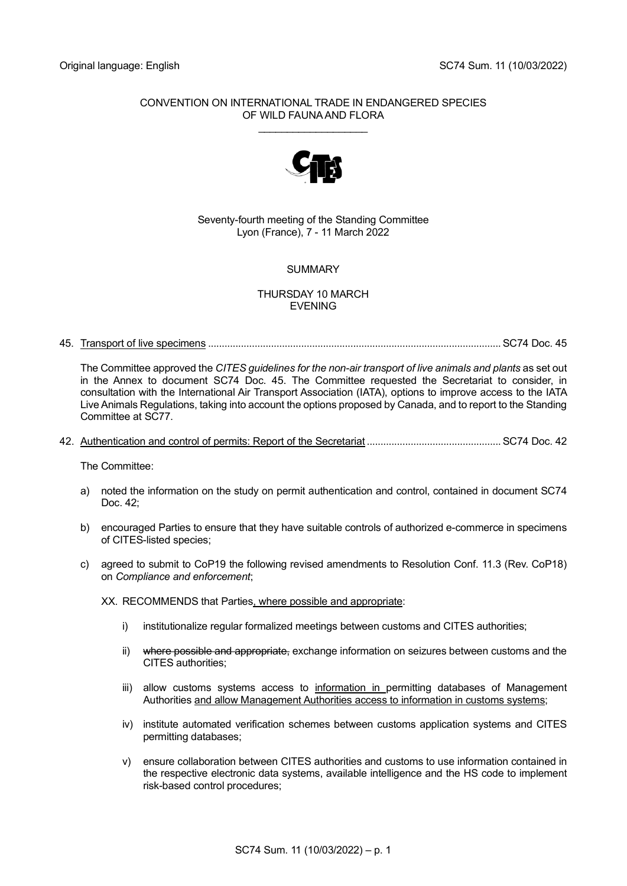## CONVENTION ON INTERNATIONAL TRADE IN ENDANGERED SPECIES OF WILD FAUNA AND FLORA \_\_\_\_\_\_\_\_\_\_\_\_\_\_\_\_\_\_\_



## Seventy-fourth meeting of the Standing Committee Lyon (France), 7 - 11 March 2022

# SUMMARY

# THURSDAY 10 MARCH EVENING

45. Transport of live specimens ...........................................................................................................SC74 Doc. 45

The Committee approved the *CITES guidelines for the non-air transport of live animals and plants* as set out in the Annex to document SC74 Doc. 45. The Committee requested the Secretariat to consider, in consultation with the International Air Transport Association (IATA), options to improve access to the IATA Live Animals Regulations, taking into account the options proposed by Canada, and to report to the Standing Committee at SC77.

42. Authentication and control of permits: Report of the Secretariat .................................................SC74 Doc. 42

The Committee:

- a) noted the information on the study on permit authentication and control, contained in document SC74 Doc.  $42<sup>1</sup>$
- b) encouraged Parties to ensure that they have suitable controls of authorized e-commerce in specimens of CITES-listed species;
- c) agreed to submit to CoP19 the following revised amendments to Resolution Conf. 11.3 (Rev. CoP18) on *Compliance and enforcement*;

XX. RECOMMENDS that Parties, where possible and appropriate:

- i) institutionalize regular formalized meetings between customs and CITES authorities;
- ii) where possible and appropriate, exchange information on seizures between customs and the CITES authorities;
- iii) allow customs systems access to information in permitting databases of Management Authorities and allow Management Authorities access to information in customs systems;
- iv) institute automated verification schemes between customs application systems and CITES permitting databases;
- v) ensure collaboration between CITES authorities and customs to use information contained in the respective electronic data systems, available intelligence and the HS code to implement risk-based control procedures;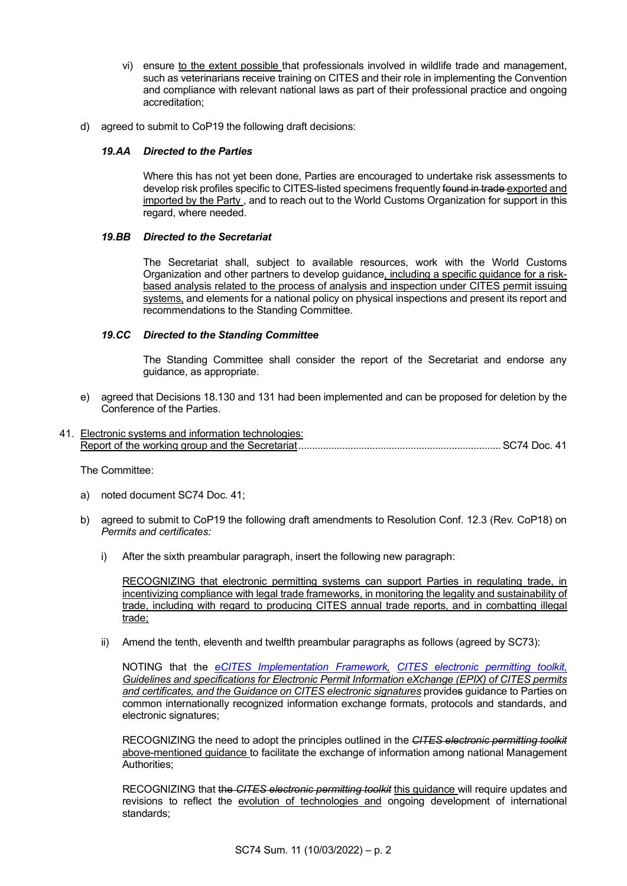- vi) ensure to the extent possible that professionals involved in wildlife trade and management, such as veterinarians receive training on CITES and their role in implementing the Convention and compliance with relevant national laws as part of their professional practice and ongoing accreditation;
- d) agreed to submit to CoP19 the following draft decisions:

## *19.AA Directed to the Parties*

Where this has not yet been done, Parties are encouraged to undertake risk assessments to develop risk profiles specific to CITES-listed specimens frequently found in trade exported and imported by the Party, and to reach out to the World Customs Organization for support in this regard, where needed.

## *19.BB Directed to the Secretariat*

The Secretariat shall, subject to available resources, work with the World Customs Organization and other partners to develop guidance, including a specific guidance for a riskbased analysis related to the process of analysis and inspection under CITES permit issuing systems, and elements for a national policy on physical inspections and present its report and recommendations to the Standing Committee.

## *19.CC Directed to the Standing Committee*

The Standing Committee shall consider the report of the Secretariat and endorse any guidance, as appropriate.

e) agreed that Decisions 18.130 and 131 had been implemented and can be proposed for deletion by the Conference of the Parties.

# 41. Electronic systems and information technologies: Report of the working group and the Secretariat..........................................................................SC74 Doc. 41

The Committee:

- a) noted document SC74 Doc. 41;
- b) agreed to submit to CoP19 the following draft amendments to Resolution Conf. 12.3 (Rev. CoP18) on *Permits and certificates:*
	- i) After the sixth preambular paragraph, insert the following new paragraph:

RECOGNIZING that electronic permitting systems can support Parties in regulating trade, in incentivizing compliance with legal trade frameworks, in monitoring the legality and sustainability of trade, including with regard to producing CITES annual trade reports, and in combatting illegal trade;

ii) Amend the tenth, eleventh and twelfth preambular paragraphs as follows (agreed by SC73):

NOTING that the *[eCITES Implementation Framework,](https://cites.org/sites/default/files/eng/prog/e/eCITES_Implementation_Guide.pdf) [CITES electronic permitting toolkit,](https://cites.org/sites/default/files/eng/prog/e/cites_e-toolkit_v2.pdf) Guidelines and specifications for Electronic Permit Information eXchange (EPIX) of CITES permits and certificates, and the Guidance on CITES electronic signatures* provides guidance to Parties on common internationally recognized information exchange formats, protocols and standards, and electronic signatures;

RECOGNIZING the need to adopt the principles outlined in the *CITES electronic permitting toolkit* above-mentioned guidance to facilitate the exchange of information among national Management Authorities;

RECOGNIZING that the *CITES electronic permitting toolkit* this guidance will require updates and revisions to reflect the evolution of technologies and ongoing development of international standards;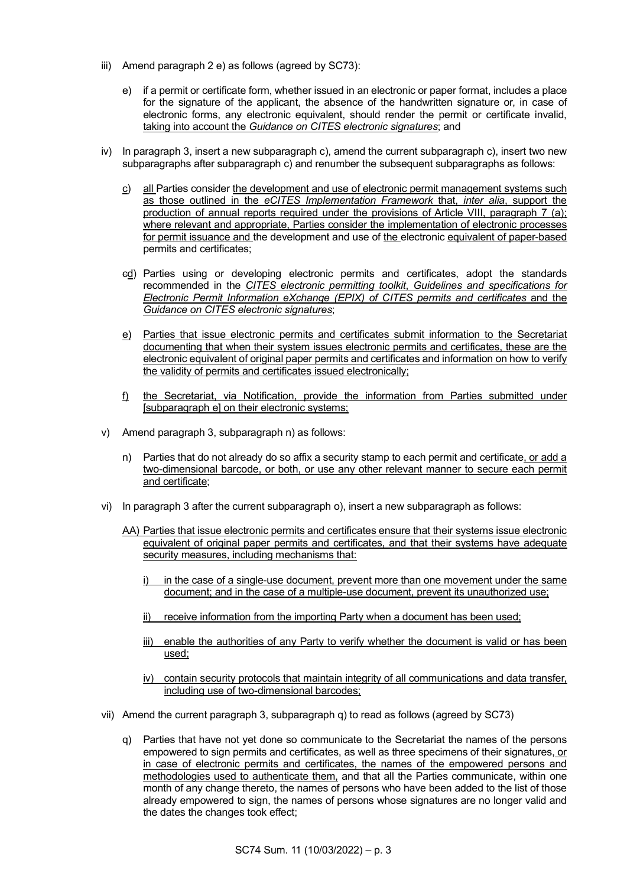- iii) Amend paragraph 2 e) as follows (agreed by SC73):
	- e) if a permit or certificate form, whether issued in an electronic or paper format, includes a place for the signature of the applicant, the absence of the handwritten signature or, in case of electronic forms, any electronic equivalent, should render the permit or certificate invalid, taking into account the *Guidance on CITES electronic signatures*; and
- iv) In paragraph 3, insert a new subparagraph c), amend the current subparagraph c), insert two new subparagraphs after subparagraph c) and renumber the subsequent subparagraphs as follows:
	- c) all Parties consider the development and use of electronic permit management systems such as those outlined in the *eCITES Implementation Framework* that, *inter alia*, support the production of annual reports required under the provisions of Article VIII, paragraph 7 (a); where relevant and appropriate, Parties consider the implementation of electronic processes for permit issuance and the development and use of the electronic equivalent of paper-based permits and certificates;
	- cd) Parties using or developing electronic permits and certificates, adopt the standards recommended in the *[CITES electronic permitting toolkit](http://www.cites.org/common/cop/15/doc/E15-30-01T.pdf)*, *Guidelines and specifications for Electronic Permit Information eXchange (EPIX) of CITES permits and certificates* and the *Guidance on CITES electronic signatures*;
	- e) Parties that issue electronic permits and certificates submit information to the Secretariat documenting that when their system issues electronic permits and certificates, these are the electronic equivalent of original paper permits and certificates and information on how to verify the validity of permits and certificates issued electronically;
	- f) the Secretariat, via Notification, provide the information from Parties submitted under [subparagraph e] on their electronic systems;
- v) Amend paragraph 3, subparagraph n) as follows:
	- n) Parties that do not already do so affix a security stamp to each permit and certificate, or add a two-dimensional barcode, or both, or use any other relevant manner to secure each permit and certificate;
- vi) In paragraph 3 after the current subparagraph o), insert a new subparagraph as follows:
	- AA) Parties that issue electronic permits and certificates ensure that their systems issue electronic equivalent of original paper permits and certificates, and that their systems have adequate security measures, including mechanisms that:
		- in the case of a single-use document, prevent more than one movement under the same document; and in the case of a multiple-use document, prevent its unauthorized use;
		- ii) receive information from the importing Party when a document has been used;
		- iii) enable the authorities of any Party to verify whether the document is valid or has been used;
		- iv) contain security protocols that maintain integrity of all communications and data transfer, including use of two-dimensional barcodes;
- vii) Amend the current paragraph 3, subparagraph q) to read as follows (agreed by SC73)
	- q) Parties that have not yet done so communicate to the Secretariat the names of the persons empowered to sign permits and certificates, as well as three specimens of their signatures, or in case of electronic permits and certificates, the names of the empowered persons and methodologies used to authenticate them, and that all the Parties communicate, within one month of any change thereto, the names of persons who have been added to the list of those already empowered to sign, the names of persons whose signatures are no longer valid and the dates the changes took effect;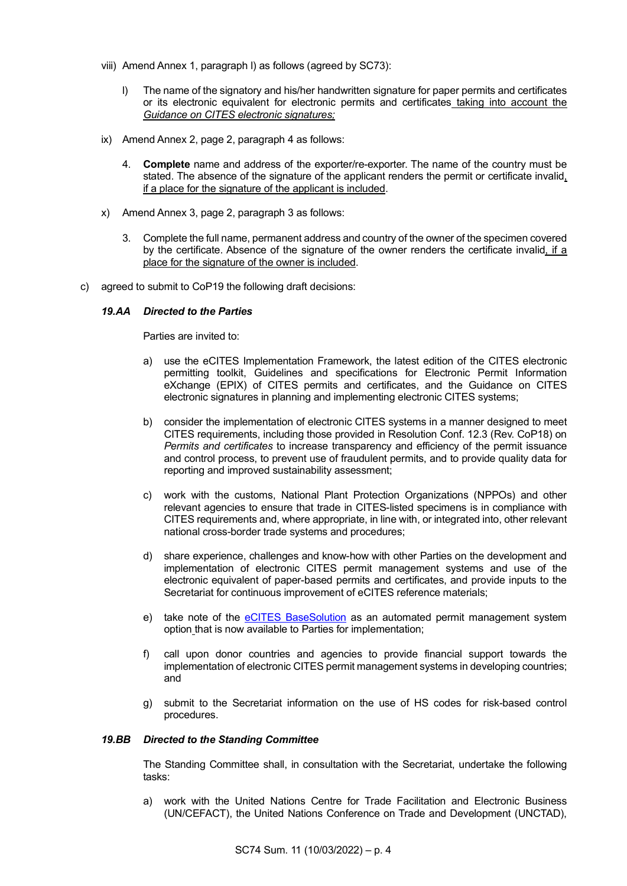- viii) Amend Annex 1, paragraph l) as follows (agreed by SC73):
	- l) The name of the signatory and his/her handwritten signature for paper permits and certificates or its electronic equivalent for electronic permits and certificates taking into account the *Guidance on CITES electronic signatures;*
- ix) Amend Annex 2, page 2, paragraph 4 as follows:
	- 4. **Complete** name and address of the exporter/re-exporter. The name of the country must be stated. The absence of the signature of the applicant renders the permit or certificate invalid, if a place for the signature of the applicant is included.
- x) Amend Annex 3, page 2, paragraph 3 as follows:
	- 3. Complete the full name, permanent address and country of the owner of the specimen covered by the certificate. Absence of the signature of the owner renders the certificate invalid, if a place for the signature of the owner is included.
- c) agreed to submit to CoP19 the following draft decisions:

## *19.AA Directed to the Parties*

Parties are invited to:

- a) use the eCITES Implementation Framework, the latest edition of the CITES electronic permitting toolkit, Guidelines and specifications for Electronic Permit Information eXchange (EPIX) of CITES permits and certificates, and the Guidance on CITES electronic signatures in planning and implementing electronic CITES systems;
- b) consider the implementation of electronic CITES systems in a manner designed to meet CITES requirements, including those provided in Resolution Conf. 12.3 (Rev. CoP18) on *Permits and certificates* to increase transparency and efficiency of the permit issuance and control process, to prevent use of fraudulent permits, and to provide quality data for reporting and improved sustainability assessment;
- c) work with the customs, National Plant Protection Organizations (NPPOs) and other relevant agencies to ensure that trade in CITES-listed specimens is in compliance with CITES requirements and, where appropriate, in line with, or integrated into, other relevant national cross-border trade systems and procedures;
- d) share experience, challenges and know-how with other Parties on the development and implementation of electronic CITES permit management systems and use of the electronic equivalent of paper-based permits and certificates, and provide inputs to the Secretariat for continuous improvement of eCITES reference materials;
- e) take note of the [eCITES BaseSolution](https://ecites.asycuda.or/) as an automated permit management system option that is now available to Parties for implementation;
- f) call upon donor countries and agencies to provide financial support towards the implementation of electronic CITES permit management systems in developing countries; and
- g) submit to the Secretariat information on the use of HS codes for risk-based control procedures.

#### *19.BB Directed to the Standing Committee*

The Standing Committee shall, in consultation with the Secretariat, undertake the following tasks:

a) work with the United Nations Centre for Trade Facilitation and Electronic Business (UN/CEFACT), the United Nations Conference on Trade and Development (UNCTAD),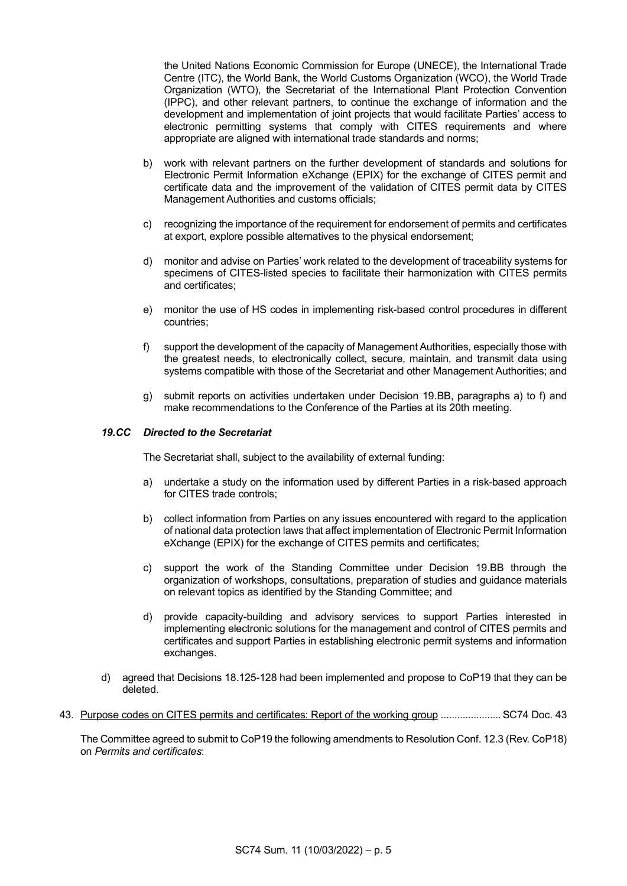the United Nations Economic Commission for Europe (UNECE), the International Trade Centre (ITC), the World Bank, the World Customs Organization (WCO), the World Trade Organization (WTO), the Secretariat of the International Plant Protection Convention (IPPC), and other relevant partners, to continue the exchange of information and the development and implementation of joint projects that would facilitate Parties' access to electronic permitting systems that comply with CITES requirements and where appropriate are aligned with international trade standards and norms;

- b) work with relevant partners on the further development of standards and solutions for Electronic Permit Information eXchange (EPIX) for the exchange of CITES permit and certificate data and the improvement of the validation of CITES permit data by CITES Management Authorities and customs officials;
- c) recognizing the importance of the requirement for endorsement of permits and certificates at export, explore possible alternatives to the physical endorsement;
- d) monitor and advise on Parties' work related to the development of traceability systems for specimens of CITES-listed species to facilitate their harmonization with CITES permits and certificates;
- e) monitor the use of HS codes in implementing risk-based control procedures in different countries;
- f) support the development of the capacity of Management Authorities, especially those with the greatest needs, to electronically collect, secure, maintain, and transmit data using systems compatible with those of the Secretariat and other Management Authorities; and
- g) submit reports on activities undertaken under Decision 19.BB, paragraphs a) to f) and make recommendations to the Conference of the Parties at its 20th meeting.

## *19.CC Directed to the Secretariat*

The Secretariat shall, subject to the availability of external funding:

- a) undertake a study on the information used by different Parties in a risk-based approach for CITES trade controls;
- b) collect information from Parties on any issues encountered with regard to the application of national data protection laws that affect implementation of Electronic Permit Information eXchange (EPIX) for the exchange of CITES permits and certificates;
- c) support the work of the Standing Committee under Decision 19.BB through the organization of workshops, consultations, preparation of studies and guidance materials on relevant topics as identified by the Standing Committee; and
- d) provide capacity-building and advisory services to support Parties interested in implementing electronic solutions for the management and control of CITES permits and certificates and support Parties in establishing electronic permit systems and information exchanges.
- d) agreed that Decisions 18.125-128 had been implemented and propose to CoP19 that they can be deleted.
- 43. Purpose codes on CITES permits and certificates: Report of the working group ......................SC74 Doc. 43

The Committee agreed to submit to CoP19 the following amendments to Resolution Conf. 12.3 (Rev. CoP18) on *Permits and certificates*: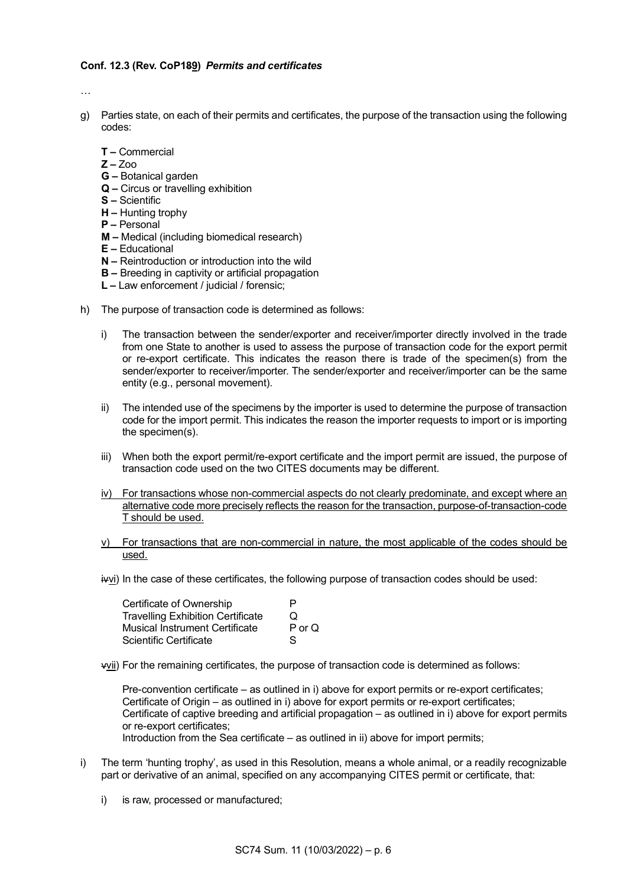#### **Conf. 12.3 (Rev. CoP189)** *Permits and certificates*

…

- g) Parties state, on each of their permits and certificates, the purpose of the transaction using the following codes:
	- **T –** Commercial
	- **Z –** Zoo
	- **G –** Botanical garden
	- **Q –** Circus or travelling exhibition
	- **S –** Scientific
	- **H –** Hunting trophy
	- **P –** Personal
	- **M –** Medical (including biomedical research)
	- **E –** Educational
	- **N –** Reintroduction or introduction into the wild
	- **B –** Breeding in captivity or artificial propagation
	- **L –** Law enforcement / judicial / forensic;
- h) The purpose of transaction code is determined as follows:
	- i) The transaction between the sender/exporter and receiver/importer directly involved in the trade from one State to another is used to assess the purpose of transaction code for the export permit or re-export certificate. This indicates the reason there is trade of the specimen(s) from the sender/exporter to receiver/importer. The sender/exporter and receiver/importer can be the same entity (e.g., personal movement).
	- ii) The intended use of the specimens by the importer is used to determine the purpose of transaction code for the import permit. This indicates the reason the importer requests to import or is importing the specimen(s).
	- iii) When both the export permit/re-export certificate and the import permit are issued, the purpose of transaction code used on the two CITES documents may be different.
	- iv) For transactions whose non-commercial aspects do not clearly predominate, and except where an alternative code more precisely reflects the reason for the transaction, purpose-of-transaction-code T should be used.
	- v) For transactions that are non-commercial in nature, the most applicable of the codes should be used.
	- ivvi) In the case of these certificates, the following purpose of transaction codes should be used:

| Certificate of Ownership                 | D          |
|------------------------------------------|------------|
| <b>Travelling Exhibition Certificate</b> | O          |
| Musical Instrument Certificate           | $P$ or $Q$ |
| Scientific Certificate                   | S          |

vvii) For the remaining certificates, the purpose of transaction code is determined as follows:

Pre-convention certificate – as outlined in i) above for export permits or re-export certificates; Certificate of Origin – as outlined in i) above for export permits or re-export certificates; Certificate of captive breeding and artificial propagation – as outlined in i) above for export permits or re-export certificates;

- Introduction from the Sea certificate as outlined in ii) above for import permits;
- i) The term 'hunting trophy', as used in this Resolution, means a whole animal, or a readily recognizable part or derivative of an animal, specified on any accompanying CITES permit or certificate, that:
	- i) is raw, processed or manufactured;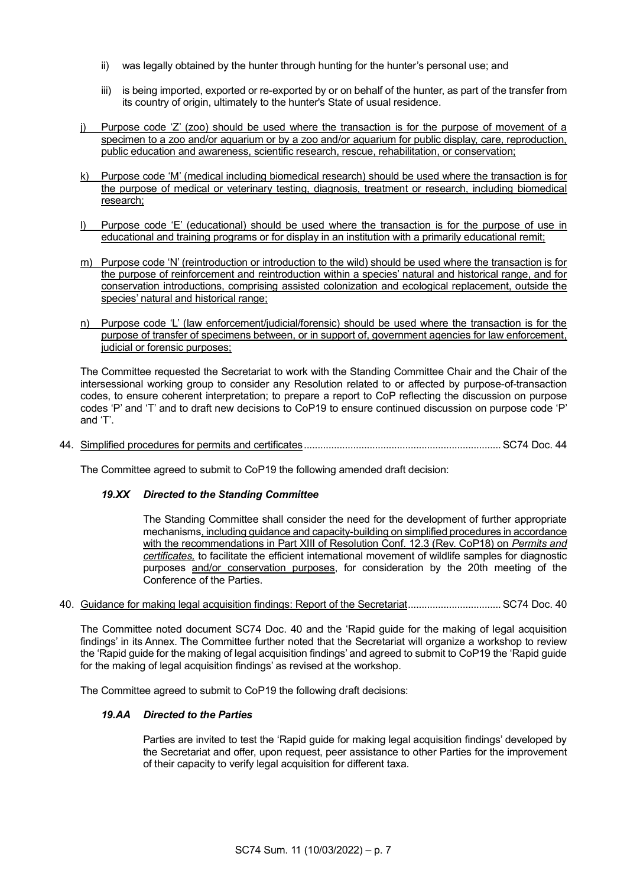- ii) was legally obtained by the hunter through hunting for the hunter's personal use; and
- iii) is being imported, exported or re-exported by or on behalf of the hunter, as part of the transfer from its country of origin, ultimately to the hunter's State of usual residence.
- Purpose code 'Z' (zoo) should be used where the transaction is for the purpose of movement of a specimen to a zoo and/or aquarium or by a zoo and/or aquarium for public display, care, reproduction, public education and awareness, scientific research, rescue, rehabilitation, or conservation;
- k) Purpose code 'M' (medical including biomedical research) should be used where the transaction is for the purpose of medical or veterinary testing, diagnosis, treatment or research, including biomedical research;
- Purpose code 'E' (educational) should be used where the transaction is for the purpose of use in educational and training programs or for display in an institution with a primarily educational remit;
- m) Purpose code 'N' (reintroduction or introduction to the wild) should be used where the transaction is for the purpose of reinforcement and reintroduction within a species' natural and historical range, and for conservation introductions, comprising assisted colonization and ecological replacement, outside the species' natural and historical range;
- n) Purpose code 'L' (law enforcement/judicial/forensic) should be used where the transaction is for the purpose of transfer of specimens between, or in support of, government agencies for law enforcement, judicial or forensic purposes;

The Committee requested the Secretariat to work with the Standing Committee Chair and the Chair of the intersessional working group to consider any Resolution related to or affected by purpose-of-transaction codes, to ensure coherent interpretation; to prepare a report to CoP reflecting the discussion on purpose codes 'P' and 'T' and to draft new decisions to CoP19 to ensure continued discussion on purpose code 'P' and 'T'.

44. Simplified procedures for permits and certificates........................................................................SC74 Doc. 44

The Committee agreed to submit to CoP19 the following amended draft decision:

# *19.XX Directed to the Standing Committee*

The Standing Committee shall consider the need for the development of further appropriate mechanisms, including guidance and capacity-building on simplified procedures in accordance with the recommendations in Part XIII of Resolution Conf. 12.3 (Rev. CoP18) on *Permits and certificates,* to facilitate the efficient international movement of wildlife samples for diagnostic purposes and/or conservation purposes, for consideration by the 20th meeting of the Conference of the Parties.

40. Guidance for making legal acquisition findings: Report of the Secretariat..................................SC74 Doc. 40

The Committee noted document SC74 Doc. 40 and the 'Rapid guide for the making of legal acquisition findings' in its Annex. The Committee further noted that the Secretariat will organize a workshop to review the 'Rapid guide for the making of legal acquisition findings' and agreed to submit to CoP19 the 'Rapid guide for the making of legal acquisition findings' as revised at the workshop.

The Committee agreed to submit to CoP19 the following draft decisions:

# *19.AA Directed to the Parties*

Parties are invited to test the 'Rapid guide for making legal acquisition findings' developed by the Secretariat and offer, upon request, peer assistance to other Parties for the improvement of their capacity to verify legal acquisition for different taxa.